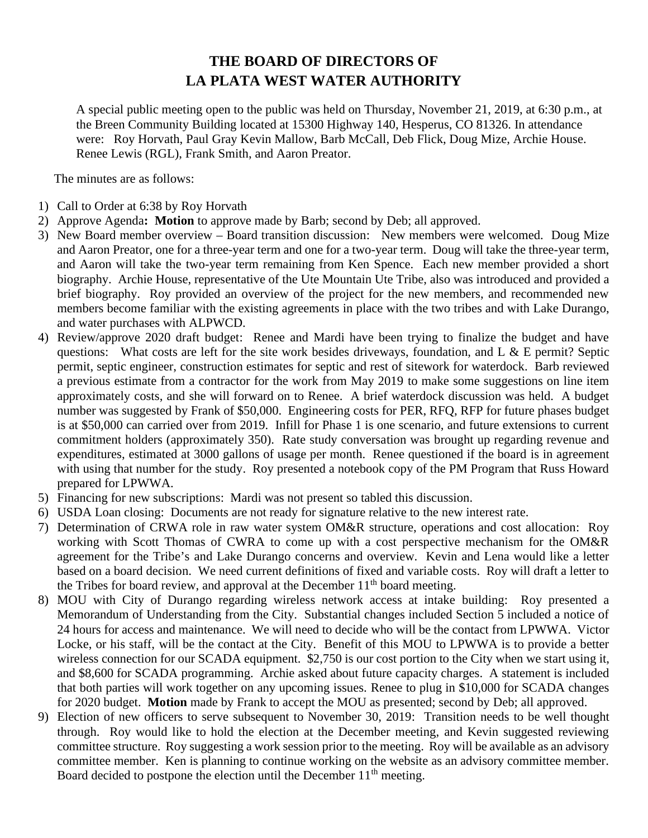## **THE BOARD OF DIRECTORS OF LA PLATA WEST WATER AUTHORITY**

A special public meeting open to the public was held on Thursday, November 21, 2019, at 6:30 p.m., at the Breen Community Building located at 15300 Highway 140, Hesperus, CO 81326. In attendance were: Roy Horvath, Paul Gray Kevin Mallow, Barb McCall, Deb Flick, Doug Mize, Archie House. Renee Lewis (RGL), Frank Smith, and Aaron Preator.

The minutes are as follows:

- 1) Call to Order at 6:38 by Roy Horvath
- 2) Approve Agenda**: Motion** to approve made by Barb; second by Deb; all approved.
- 3) New Board member overview Board transition discussion: New members were welcomed. Doug Mize and Aaron Preator, one for a three-year term and one for a two-year term. Doug will take the three-year term, and Aaron will take the two-year term remaining from Ken Spence. Each new member provided a short biography. Archie House, representative of the Ute Mountain Ute Tribe, also was introduced and provided a brief biography. Roy provided an overview of the project for the new members, and recommended new members become familiar with the existing agreements in place with the two tribes and with Lake Durango, and water purchases with ALPWCD.
- 4) Review/approve 2020 draft budget: Renee and Mardi have been trying to finalize the budget and have questions: What costs are left for the site work besides driveways, foundation, and L  $\&$  E permit? Septic permit, septic engineer, construction estimates for septic and rest of sitework for waterdock. Barb reviewed a previous estimate from a contractor for the work from May 2019 to make some suggestions on line item approximately costs, and she will forward on to Renee. A brief waterdock discussion was held. A budget number was suggested by Frank of \$50,000. Engineering costs for PER, RFQ, RFP for future phases budget is at \$50,000 can carried over from 2019. Infill for Phase 1 is one scenario, and future extensions to current commitment holders (approximately 350). Rate study conversation was brought up regarding revenue and expenditures, estimated at 3000 gallons of usage per month. Renee questioned if the board is in agreement with using that number for the study. Roy presented a notebook copy of the PM Program that Russ Howard prepared for LPWWA.
- 5) Financing for new subscriptions: Mardi was not present so tabled this discussion.
- 6) USDA Loan closing: Documents are not ready for signature relative to the new interest rate.
- 7) Determination of CRWA role in raw water system OM&R structure, operations and cost allocation: Roy working with Scott Thomas of CWRA to come up with a cost perspective mechanism for the OM&R agreement for the Tribe's and Lake Durango concerns and overview. Kevin and Lena would like a letter based on a board decision. We need current definitions of fixed and variable costs. Roy will draft a letter to the Tribes for board review, and approval at the December  $11<sup>th</sup>$  board meeting.
- 8) MOU with City of Durango regarding wireless network access at intake building: Roy presented a Memorandum of Understanding from the City. Substantial changes included Section 5 included a notice of 24 hours for access and maintenance. We will need to decide who will be the contact from LPWWA. Victor Locke, or his staff, will be the contact at the City. Benefit of this MOU to LPWWA is to provide a better wireless connection for our SCADA equipment. \$2,750 is our cost portion to the City when we start using it, and \$8,600 for SCADA programming. Archie asked about future capacity charges. A statement is included that both parties will work together on any upcoming issues. Renee to plug in \$10,000 for SCADA changes for 2020 budget. **Motion** made by Frank to accept the MOU as presented; second by Deb; all approved.
- 9) Election of new officers to serve subsequent to November 30, 2019: Transition needs to be well thought through. Roy would like to hold the election at the December meeting, and Kevin suggested reviewing committee structure. Roy suggesting a work session prior to the meeting. Roy will be available as an advisory committee member. Ken is planning to continue working on the website as an advisory committee member. Board decided to postpone the election until the December  $11<sup>th</sup>$  meeting.